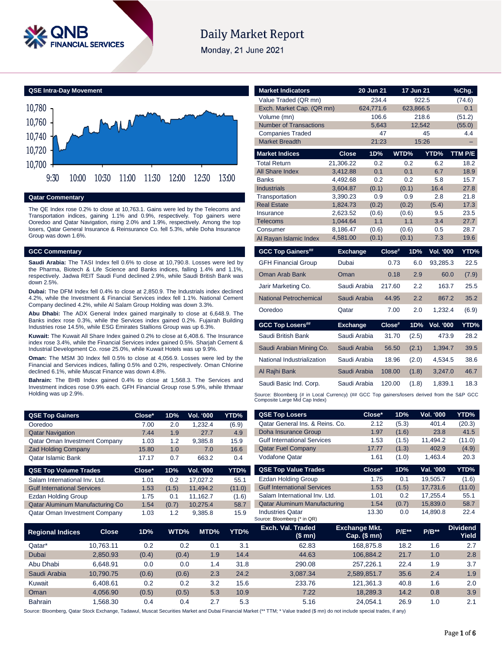

# **Daily Market Report**

Monday, 21 June 2021



### **Qatar Commentary**

The QE Index rose 0.2% to close at 10,763.1. Gains were led by the Telecoms and Transportation indices, gaining 1.1% and 0.9%, respectively. Top gainers were Ooredoo and Qatar Navigation, rising 2.0% and 1.9%, respectively. Among the top losers, Qatar General Insurance & Reinsurance Co. fell 5.3%, while Doha Insurance Group was down 1.6%.

### **GCC Commentary**

**Saudi Arabia:** The TASI Index fell 0.6% to close at 10,790.8. Losses were led by the Pharma, Biotech & Life Science and Banks indices, falling 1.4% and 1.1%, respectively. Jadwa REIT Saudi Fund declined 2.9%, while Saudi British Bank was down 2.5%.

**Dubai:** The DFM Index fell 0.4% to close at 2,850.9. The Industrials index declined 4.2%, while the Investment & Financial Services index fell 1.1%. National Cement Company declined 4.2%, while Al Salam Group Holding was down 3.3%.

**Abu Dhabi:** The ADX General Index gained marginally to close at 6,648.9. The Banks index rose 0.3%, while the Services index gained 0.2%. Fujairah Building Industries rose 14.5%, while ESG Emirates Stallions Group was up 6.3%.

**Kuwait:** The Kuwait All Share Index gained 0.2% to close at 6,408.6. The Insurance index rose 3.4%, while the Financial Services index gained 0.5%. Sharjah Cement & Industrial Development Co. rose 25.0%, while Kuwait Hotels was up 9.9%.

**Oman:** The MSM 30 Index fell 0.5% to close at 4,056.9. Losses were led by the Financial and Services indices, falling 0.5% and 0.2%, respectively. Oman Chlorine declined 6.1%, while Muscat Finance was down 4.8%.

**Bahrain:** The BHB Index gained 0.4% to close at 1,568.3. The Services and Investment indices rose 0.9% each. GFH Financial Group rose 5.9%, while Ithmaar Holding was up 2.9%.

| <b>QSE Top Gainers</b>               | Close* | 1D% | <b>Vol. '000</b> | YTD%  |
|--------------------------------------|--------|-----|------------------|-------|
| Ooredoo                              | 7.00   | 2.0 | 1.232.4          | (6.9) |
| <b>Qatar Navigation</b>              | 7.44   | 1.9 | 27.7             | 4.9   |
| <b>Qatar Oman Investment Company</b> | 1.03   | 1.2 | 9,385.8          | 15.9  |
| <b>Zad Holding Company</b>           | 15.80  | 1.0 | 7.0              | 16.6  |
| <b>Qatar Islamic Bank</b>            | 17.17  | 0.7 | 663.2            | 0.4   |

| <b>QSE Top Volume Trades</b>         | $Close*$ | 1D%   | <b>Vol. '000</b> | YTD%   |
|--------------------------------------|----------|-------|------------------|--------|
| Salam International Inv. Ltd.        | 1.01     | 0.2   | 17.027.2         | 55.1   |
| <b>Gulf International Services</b>   | 1.53     | (1.5) | 11.494.2         | (11.0) |
| <b>Ezdan Holding Group</b>           | 1.75     | 0.1   | 11.162.7         | (1.6)  |
| Qatar Aluminum Manufacturing Co      | 1.54     | (0.7) | 10.275.4         | 58.7   |
| <b>Qatar Oman Investment Company</b> | 1.03     | 1.2   | 9.385.8          | 15.9   |

| <b>Market Indicators</b>                                                                                                      |                      | 20 Jun 21    |           | 17 Jun 21    |                  | %Chq.        |
|-------------------------------------------------------------------------------------------------------------------------------|----------------------|--------------|-----------|--------------|------------------|--------------|
| Value Traded (QR mn)                                                                                                          |                      | 234.4        |           | 922.5        |                  | (74.6)       |
| Exch. Market Cap. (QR mn)                                                                                                     |                      | 624,771.6    |           | 623,866.5    |                  | 0.1          |
| Volume (mn)                                                                                                                   |                      | 106.6        |           | 218.6        |                  | (51.2)       |
| <b>Number of Transactions</b>                                                                                                 |                      | 5.643        |           | 12.542       |                  | (55.0)       |
| <b>Companies Traded</b>                                                                                                       |                      | 47           |           |              | 45               | 4.4          |
| <b>Market Breadth</b>                                                                                                         |                      | 21:23        |           | 15:26        |                  |              |
| <b>Market Indices</b>                                                                                                         | <b>Close</b>         | 1D%          |           | WTD%         | YTD%             | TTM P/E      |
| Total Return                                                                                                                  | 21.306.22            | 0.2          |           | 0.2          | 6.2              | 18.2         |
| <b>All Share Index</b>                                                                                                        | 3,412.88             | 0.1          |           | 0.1          | 6.7              | 18.9         |
| <b>Banks</b>                                                                                                                  | 4,492.68             | 0.2          |           | 0.2          | 5.8              | 15.7         |
| Industrials                                                                                                                   | 3.604.87             | (0.1)        |           | (0.1)        | 16.4             | 27.8         |
| Transportation<br><b>Real Estate</b>                                                                                          | 3,390.23<br>1,824.73 | 0.9<br>(0.2) |           | 0.9<br>(0.2) | 2.8<br>(5.4)     | 21.8<br>17.3 |
| Insurance                                                                                                                     | 2,623.52             | (0.6)        |           | (0.6)        | 9.5              | 23.5         |
| <b>Telecoms</b>                                                                                                               | 1,044.64             | 1.1          |           | 1.1          | 3.4              | 27.7         |
| Consumer                                                                                                                      | 8.186.47             | (0.6)        |           | (0.6)        | 0.5              | 28.7         |
| Al Rayan Islamic Index                                                                                                        | 4,581.00             | (0.1)        |           | (0.1)        | 7.3              | 19.6         |
| <b>GCC Top Gainers##</b>                                                                                                      | <b>Exchange</b>      |              | Close#    | 1D%          | <b>Vol. '000</b> | YTD%         |
| <b>GFH Financial Group</b>                                                                                                    | Dubai                |              | 0.73      | 6.0          | 93,285.3         | 22.5         |
| Oman Arab Bank                                                                                                                | Oman                 |              | 0.18      | 2.9          | 60.0             | (7.9)        |
| Jarir Marketing Co.                                                                                                           | Saudi Arabia         |              | 217.60    | 2.2          | 163.7            | 25.5         |
| <b>National Petrochemical</b>                                                                                                 | Saudi Arabia         |              | 44.95     | 2.2          | 867.2            | 35.2         |
| Ooredoo                                                                                                                       | Qatar                |              | 7.00      | 2.0          | 1.232.4          | (6.9)        |
| <b>GCC Top Losers##</b>                                                                                                       | <b>Exchange</b>      |              | $Close^*$ | 1D%          | <b>Vol. '000</b> | YTD%         |
| Saudi British Bank                                                                                                            | Saudi Arabia         |              | 31.70     | (2.5)        | 473.9            | 28.2         |
| Saudi Arabian Mining Co.                                                                                                      | Saudi Arabia         |              | 56.50     | (2.1)        | 1.394.7          | 39.5         |
| National Industrialization                                                                                                    | Saudi Arabia         |              | 18.96     | (2.0)        | 4,534.5          | 38.6         |
| Al Rajhi Bank                                                                                                                 | Saudi Arabia         |              | 108.00    | (1.8)        | 3,247.0          | 46.7         |
| Saudi Basic Ind. Corp.                                                                                                        | Saudi Arabia         |              | 120.00    | (1.8)        | 1.839.1          | 18.3         |
| Source: Bloomberg (# in Local Currency) (## GCC Top gainers/losers derived from the S&P GCC<br>Composite Large Mid Cap Index) |                      |              |           |              |                  |              |
| <b>QSE Top Losers</b>                                                                                                         |                      | Close*       | 1D%       |              | Vol. '000        | YTD%         |

| <b>QSE Top Gainers</b>               |              | Close* | 1D%   | Vol. '000 | YTD%   | <b>QSE Top Losers</b>                                  | Close*                                   | 1D%      | Vol. '000 | YTD%                     |
|--------------------------------------|--------------|--------|-------|-----------|--------|--------------------------------------------------------|------------------------------------------|----------|-----------|--------------------------|
| Ooredoo                              |              | 7.00   | 2.0   | 1,232.4   | (6.9)  | Qatar General Ins. & Reins. Co.                        | 2.12                                     | (5.3)    | 401.4     | (20.3)                   |
| <b>Qatar Navigation</b>              |              | 7.44   | 1.9   | 27.7      | 4.9    | Doha Insurance Group                                   | 1.97                                     | (1.6)    | 23.8      | 41.5                     |
| <b>Qatar Oman Investment Company</b> |              | 1.03   | 1.2   | 9,385.8   | 15.9   | <b>Gulf International Services</b>                     | 1.53                                     | (1.5)    | 11,494.2  | (11.0)                   |
| <b>Zad Holding Company</b>           |              | 15.80  | 1.0   | 7.0       | 16.6   | <b>Qatar Fuel Company</b>                              | 17.77                                    | (1.3)    | 402.9     | (4.9)                    |
| Qatar Islamic Bank                   |              | 17.17  | 0.7   | 663.2     | 0.4    | <b>Vodafone Qatar</b>                                  | 1.61                                     | (1.0)    | 1,463.4   | 20.3                     |
| <b>QSE Top Volume Trades</b>         |              | Close* | 1D%   | Vol. '000 | YTD%   | <b>QSE Top Value Trades</b>                            | Close*                                   | 1D%      | Val. '000 | YTD%                     |
| Salam International Inv. Ltd.        |              | 1.01   | 0.2   | 17,027.2  | 55.1   | Ezdan Holding Group                                    | 1.75                                     | 0.1      | 19,505.7  | (1.6)                    |
| <b>Gulf International Services</b>   |              | 1.53   | (1.5) | 11,494.2  | (11.0) | <b>Gulf International Services</b>                     | 1.53                                     | (1.5)    | 17,731.6  | (11.0)                   |
| <b>Ezdan Holding Group</b>           |              | 1.75   | 0.1   | 11,162.7  | (1.6)  | Salam International Inv. Ltd.                          | 1.01                                     | 0.2      | 17,255.4  | 55.1                     |
| Qatar Aluminum Manufacturing Co      |              | 1.54   | (0.7) | 10,275.4  | 58.7   | <b>Qatar Aluminum Manufacturing</b>                    | 1.54                                     | (0.7)    | 15,839.0  | 58.7                     |
| Qatar Oman Investment Company        |              | 1.03   | 1.2   | 9,385.8   | 15.9   | <b>Industries Qatar</b><br>Source: Bloomberg (* in QR) | 13.30                                    | 0.0      | 14,890.8  | 22.4                     |
| <b>Regional Indices</b>              | <b>Close</b> | 1D%    | WTD%  | MTD%      | YTD%   | Exch. Val. Traded<br>(\$ mn)                           | <b>Exchange Mkt.</b><br>Cap. $($$ mn $)$ | $P/E***$ | $P/B**$   | <b>Dividend</b><br>Yield |
| Qatar*                               | 10,763.11    | 0.2    | 0.2   | 0.1       | 3.1    | 62.83                                                  | 168,875.8                                | 18.2     | 1.6       | 2.7                      |
| Dubai                                | 2,850.93     | (0.4)  | (0.4) | 1.9       | 14.4   | 44.63                                                  | 106,884.2                                | 21.7     | 1.0       | 2.8                      |
| Abu Dhabi                            | 6,648.91     | 0.0    | 0.0   | 1.4       | 31.8   | 290.08                                                 | 257,226.1                                | 22.4     | 1.9       | 3.7                      |
| Saudi Arabia                         | 10,790.75    | (0.6)  | (0.6) | 2.3       | 24.2   | 3,087.34                                               | 2,589,851.7                              | 35.6     | 2.4       | 1.9                      |
| Kuwait                               | 6,408.61     | 0.2    | 0.2   | 3.2       | 15.6   | 233.76                                                 | 121,361.3                                | 40.8     | 1.6       | 2.0                      |
| Oman                                 | 4,056.90     | (0.5)  | (0.5) | 5.3       | 10.9   | 7.22                                                   | 18,289.3                                 | 14.2     | 0.8       | 3.9                      |
|                                      |              |        |       |           |        |                                                        |                                          |          |           |                          |

Source: Bloomberg, Qatar Stock Exchange, Tadawul, Muscat Securities Market and Dubai Financial Market (\*\* TTM; \* Value traded (\$ mn) do not include special trades, if any)

Bahrain 1,568.30 0.4 0.4 2.7 5.3 5.16 24,054.1 26.9 1.0 2.1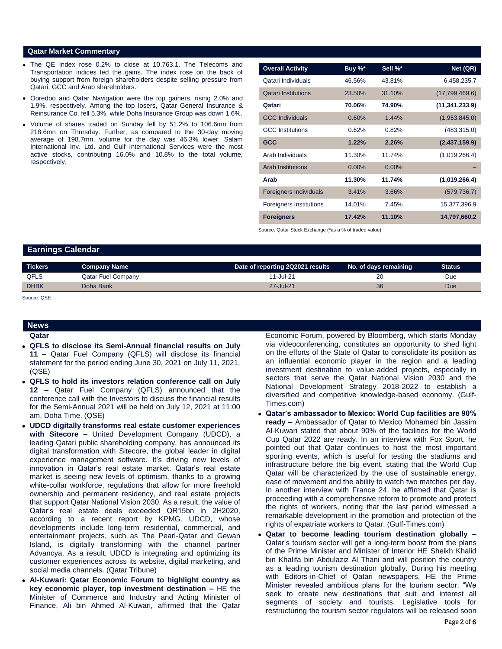### **Qatar Market Commentary**

- The QE Index rose 0.2% to close at 10,763.1. The Telecoms and Transportation indices led the gains. The index rose on the back of buying support from foreign shareholders despite selling pressure from Qatari, GCC and Arab shareholders.
- Ooredoo and Qatar Navigation were the top gainers, rising 2.0% and 1.9%, respectively. Among the top losers, Qatar General Insurance & Reinsurance Co. fell 5.3%, while Doha Insurance Group was down 1.6%.
- Volume of shares traded on Sunday fell by 51.2% to 106.6mn from 218.6mn on Thursday. Further, as compared to the 30-day moving average of 198.7mn, volume for the day was 46.3% lower. Salam International Inv. Ltd. and Gulf International Services were the most active stocks, contributing 16.0% and 10.8% to the total volume, respectively.

| <b>Overall Activity</b>        | Buy %*   | Sell %*  | Net (QR)         |
|--------------------------------|----------|----------|------------------|
| Qatari Individuals             | 46.56%   | 43.81%   | 6,458,235.7      |
| <b>Qatari Institutions</b>     | 23.50%   | 31.10%   | (17,799,469.6)   |
| Qatari                         | 70.06%   | 74.90%   | (11, 341, 233.9) |
| <b>GCC Individuals</b>         | 0.60%    | 1.44%    | (1,953,845.0)    |
| <b>GCC</b> Institutions        | 0.62%    | 0.82%    | (483, 315.0)     |
| <b>GCC</b>                     | 1.22%    | 2.26%    | (2,437,159.9)    |
| Arab Individuals               | 11.30%   | 11.74%   | (1,019,266.4)    |
| <b>Arab Institutions</b>       | $0.00\%$ | $0.00\%$ |                  |
| Arab                           | 11.30%   | 11.74%   | (1,019,266.4)    |
| <b>Foreigners Individuals</b>  | 3.41%    | 3.66%    | (579, 736.7)     |
| <b>Foreigners Institutions</b> | 14.01%   | 7.45%    | 15,377,396.9     |
| <b>Foreigners</b>              | 17.42%   | 11.10%   | 14,797,660.2     |

Source: Qatar Stock Exchange (\*as a % of traded value)

## **Earnings Calendar**

| <b>Tickers</b> | <b>Company Name</b>       | Date of reporting 2Q2021 results | No. of days remaining | <b>Status</b> |
|----------------|---------------------------|----------------------------------|-----------------------|---------------|
| <b>QFLS</b>    | <b>Qatar Fuel Company</b> | $11 -$ Jul-21                    | 20                    | Due           |
| <b>DHBK</b>    | Doha Bank                 | 27-Jul-21                        | 36                    | Due           |
|                |                           |                                  |                       |               |

Source: QSE

# **News**

- **Qatar**
- **QFLS to disclose its Semi-Annual financial results on July 11 –** Qatar Fuel Company (QFLS) will disclose its financial statement for the period ending June 30, 2021 on July 11, 2021. (QSE)
- **QFLS to hold its investors relation conference call on July 12 –** Qatar Fuel Company (QFLS) announced that the conference call with the Investors to discuss the financial results for the Semi-Annual 2021 will be held on July 12, 2021 at 11:00 am, Doha Time. (QSE)
- **UDCD digitally transforms real estate customer experiences with Sitecore –** United Development Company (UDCD), a leading Qatari public shareholding company, has announced its digital transformation with Sitecore, the global leader in digital experience management software. It's driving new levels of innovation in Qatar's real estate market. Qatar's real estate market is seeing new levels of optimism, thanks to a growing white-collar workforce, regulations that allow for more freehold ownership and permanent residency, and real estate projects that support Qatar National Vision 2030. As a result, the value of Qatar's real estate deals exceeded QR15bn in 2H2020, according to a recent report by KPMG. UDCD, whose developments include long-term residential, commercial, and entertainment projects, such as The Pearl-Qatar and Gewan Island, is digitally transforming with the channel partner Advancya. As a result, UDCD is integrating and optimizing its customer experiences across its website, digital marketing, and social media channels. (Qatar Tribune)
- **Al-Kuwari: Qatar Economic Forum to highlight country as key economic player, top investment destination –** HE the Minister of Commerce and Industry and Acting Minister of Finance, Ali bin Ahmed Al-Kuwari, affirmed that the Qatar

Economic Forum, powered by Bloomberg, which starts Monday via videoconferencing, constitutes an opportunity to shed light on the efforts of the State of Qatar to consolidate its position as an influential economic player in the region and a leading investment destination to value-added projects, especially in sectors that serve the Qatar National Vision 2030 and the National Development Strategy 2018-2022 to establish a diversified and competitive knowledge-based economy. (Gulf-Times.com)

- **Qatar's ambassador to Mexico: World Cup facilities are 90% ready –** Ambassador of Qatar to Mexico Mohamed bin Jassim Al-Kuwari stated that about 90% of the facilities for the World Cup Qatar 2022 are ready. In an interview with Fox Sport, he pointed out that Qatar continues to host the most important sporting events, which is useful for testing the stadiums and infrastructure before the big event, stating that the World Cup Qatar will be characterized by the use of sustainable energy, ease of movement and the ability to watch two matches per day. In another interview with France 24, he affirmed that Qatar is proceeding with a comprehensive reform to promote and protect the rights of workers, noting that the last period witnessed a remarkable development in the promotion and protection of the rights of expatriate workers to Qatar. (Gulf-Times.com)
- **Qatar to become leading tourism destination globally –** Qatar's tourism sector will get a long-term boost from the plans of the Prime Minister and Minister of Interior HE Sheikh Khalid bin Khalifa bin Abdulaziz Al Thani and will position the country as a leading tourism destination globally. During his meeting with Editors-in-Chief of Qatari newspapers, HE the Prime Minister revealed ambitious plans for the tourism sector. "We seek to create new destinations that suit and interest all segments of society and tourists. Legislative tools for restructuring the tourism sector regulators will be released soon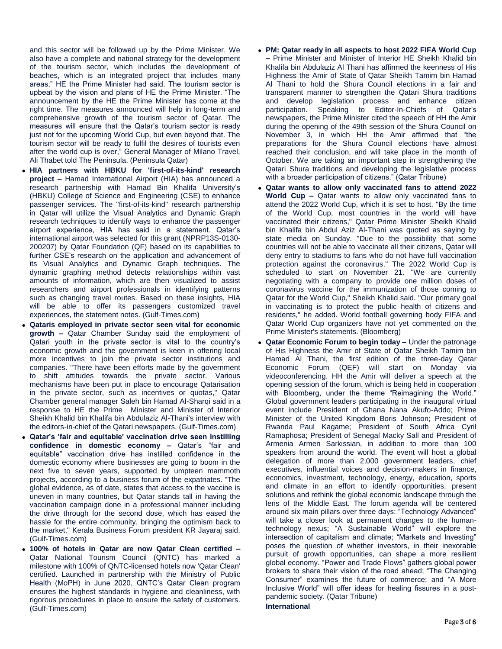and this sector will be followed up by the Prime Minister. We also have a complete and national strategy for the development of the tourism sector, which includes the development of beaches, which is an integrated project that includes many areas," HE the Prime Minister had said. The tourism sector is upbeat by the vision and plans of HE the Prime Minister. "The announcement by the HE the Prime Minister has come at the right time. The measures announced will help in long-term and comprehensive growth of the tourism sector of Qatar. The measures will ensure that the Qatar's tourism sector is ready just not for the upcoming World Cup, but even beyond that. The tourism sector will be ready to fulfil the desires of tourists even after the world cup is over," General Manager of Milano Travel, Ali Thabet told The Peninsula. (Peninsula Qatar)

- **HIA partners with HBKU for 'first-of-its-kind' research project –** Hamad International Airport (HIA) has announced a research partnership with Hamad Bin Khalifa University's (HBKU) College of Science and Engineering (CSE) to enhance passenger services. The "first-of-its-kind" research partnership in Qatar will utilize the Visual Analytics and Dynamic Graph research techniques to identify ways to enhance the passenger airport experience, HIA has said in a statement. Qatar's international airport was selected for this grant (NPRP13S-0130- 200207) by Qatar Foundation (QF) based on its capabilities to further CSE's research on the application and advancement of its Visual Analytics and Dynamic Graph techniques. The dynamic graphing method detects relationships within vast amounts of information, which are then visualized to assist researchers and airport professionals in identifying patterns such as changing travel routes. Based on these insights, HIA will be able to offer its passengers customized travel experiences, the statement notes. (Gulf-Times.com)
- **Qataris employed in private sector seen vital for economic growth –** Qatar Chamber Sunday said the employment of Qatari youth in the private sector is vital to the country's economic growth and the government is keen in offering local more incentives to join the private sector institutions and companies. "There have been efforts made by the government to shift attitudes towards the private sector. Various mechanisms have been put in place to encourage Qatarisation in the private sector, such as incentives or quotas," Qatar Chamber general manager Saleh bin Hamad Al-Sharqi said in a response to HE the Prime Minister and Minister of Interior Sheikh Khalid bin Khalifa bin Abdulaziz Al-Thani's interview with the editors-in-chief of the Qatari newspapers. (Gulf-Times.com)
- **Qatar's 'fair and equitable' vaccination drive seen instilling confidence in domestic economy –** Qatar's "fair and equitable" vaccination drive has instilled confidence in the domestic economy where businesses are going to boom in the next five to seven years, supported by umpteen mammoth projects, according to a business forum of the expatriates. "The global evidence, as of date, states that access to the vaccine is uneven in many countries, but Qatar stands tall in having the vaccination campaign done in a professional manner including the drive through for the second dose, which has eased the hassle for the entire community, bringing the optimism back to the market," Kerala Business Forum president KR Jayaraj said. (Gulf-Times.com)
- **100% of hotels in Qatar are now Qatar Clean certified –** Qatar National Tourism Council (QNTC) has marked a milestone with 100% of QNTC-licensed hotels now 'Qatar Clean' certified. Launched in partnership with the Ministry of Public Health (MoPH) in June 2020, QNTC's Qatar Clean program ensures the highest standards in hygiene and cleanliness, with rigorous procedures in place to ensure the safety of customers. (Gulf-Times.com)
- **PM: Qatar ready in all aspects to host 2022 FIFA World Cup –** Prime Minister and Minister of Interior HE Sheikh Khalid bin Khalifa bin Abdulaziz Al Thani has affirmed the keenness of His Highness the Amir of State of Qatar Sheikh Tamim bin Hamad Al Thani to hold the Shura Council elections in a fair and transparent manner to strengthen the Qatari Shura traditions and develop legislation process and enhance citizen participation. Speaking to Editor-In-Chiefs of Qatar's newspapers, the Prime Minister cited the speech of HH the Amir during the opening of the 49th session of the Shura Council on November 3, in which HH the Amir affirmed that "the preparations for the Shura Council elections have almost reached their conclusion, and will take place in the month of October. We are taking an important step in strengthening the Qatari Shura traditions and developing the legislative process with a broader participation of citizens." (Qatar Tribune)
- **Qatar wants to allow only vaccinated fans to attend 2022 World Cup –** Qatar wants to allow only vaccinated fans to attend the 2022 World Cup, which it is set to host. "By the time of the World Cup, most countries in the world will have vaccinated their citizens," Qatar Prime Minister Sheikh Khalid bin Khalifa bin Abdul Aziz Al-Thani was quoted as saying by state media on Sunday. "Due to the possibility that some countries will not be able to vaccinate all their citizens, Qatar will deny entry to stadiums to fans who do not have full vaccination protection against the coronavirus." The 2022 World Cup is scheduled to start on November 21. "We are currently negotiating with a company to provide one million doses of coronavirus vaccine for the immunization of those coming to Qatar for the World Cup," Sheikh Khalid said. "Our primary goal in vaccinating is to protect the public health of citizens and residents," he added. World football governing body FIFA and Qatar World Cup organizers have not yet commented on the Prime Minister's statements. (Bloomberg)
- **Qatar Economic Forum to begin today –** Under the patronage of His Highness the Amir of State of Qatar Sheikh Tamim bin Hamad Al Thani, the first edition of the three-day Qatar Economic Forum (QEF) will start on Monday via videoconferencing. HH the Amir will deliver a speech at the opening session of the forum, which is being held in cooperation with Bloomberg, under the theme "Reimagining the World." Global government leaders participating in the inaugural virtual event include President of Ghana Nana Akufo-Addo; Prime Minister of the United Kingdom Boris Johnson; President of Rwanda Paul Kagame; President of South Africa Cyril Ramaphosa; President of Senegal Macky Sall and President of Armenia Armen Sarkissian, in addition to more than 100 speakers from around the world. The event will host a global delegation of more than 2,000 government leaders, chief executives, influential voices and decision-makers in finance, economics, investment, technology, energy, education, sports and climate in an effort to identify opportunities, present solutions and rethink the global economic landscape through the lens of the Middle East. The forum agenda will be centered around six main pillars over three days: "Technology Advanced" will take a closer look at permanent changes to the humantechnology nexus; "A Sustainable World" will explore the intersection of capitalism and climate; "Markets and Investing" poses the question of whether investors, in their inexorable pursuit of growth opportunities, can shape a more resilient global economy. "Power and Trade Flows" gathers global power brokers to share their vision of the road ahead; "The Changing Consumer" examines the future of commerce; and "A More Inclusive World" will offer ideas for healing fissures in a postpandemic society. (Qatar Tribune) **International**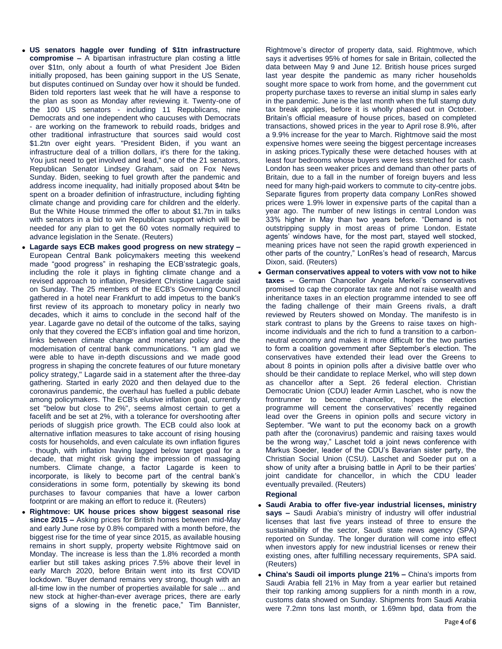- **US senators haggle over funding of \$1tn infrastructure compromise –** A bipartisan infrastructure plan costing a little over \$1tn, only about a fourth of what President Joe Biden initially proposed, has been gaining support in the US Senate, but disputes continued on Sunday over how it should be funded. Biden told reporters last week that he will have a response to the plan as soon as Monday after reviewing it. Twenty-one of the 100 US senators - including 11 Republicans, nine Democrats and one independent who caucuses with Democrats - are working on the framework to rebuild roads, bridges and other traditional infrastructure that sources said would cost \$1.2tn over eight years. "President Biden, if you want an infrastructure deal of a trillion dollars, it's there for the taking. You just need to get involved and lead," one of the 21 senators, Republican Senator Lindsey Graham, said on Fox News Sunday. Biden, seeking to fuel growth after the pandemic and address income inequality, had initially proposed about \$4tn be spent on a broader definition of infrastructure, including fighting climate change and providing care for children and the elderly. But the White House trimmed the offer to about \$1.7tn in talks with senators in a bid to win Republican support which will be needed for any plan to get the 60 votes normally required to advance legislation in the Senate. (Reuters)
- **Lagarde says ECB makes good progress on new strategy –** European Central Bank policymakers meeting this weekend made "good progress" in reshaping the ECB'sstrategic goals, including the role it plays in fighting climate change and a revised approach to inflation, President Christine Lagarde said on Sunday. The 25 members of the ECB's Governing Council gathered in a hotel near Frankfurt to add impetus to the bank's first review of its approach to monetary policy in nearly two decades, which it aims to conclude in the second half of the year. Lagarde gave no detail of the outcome of the talks, saying only that they covered the ECB's inflation goal and time horizon, links between climate change and monetary policy and the modernisation of central bank communications. "I am glad we were able to have in-depth discussions and we made good progress in shaping the concrete features of our future monetary policy strategy," Lagarde said in a statement after the three-day gathering. Started in early 2020 and then delayed due to the coronavirus pandemic, the overhaul has fuelled a public debate among policymakers. The ECB's elusive inflation goal, currently set "below but close to 2%", seems almost certain to get a facelift and be set at 2%, with a tolerance for overshooting after periods of sluggish price growth. The ECB could also look at alternative inflation measures to take account of rising housing costs for households, and even calculate its own inflation figures - though, with inflation having lagged below target goal for a decade, that might risk giving the impression of massaging numbers. Climate change, a factor Lagarde is keen to incorporate, is likely to become part of the central bank's considerations in some form, potentially by skewing its bond purchases to favour companies that have a lower carbon footprint or are making an effort to reduce it. (Reuters)
- **Rightmove: UK house prices show biggest seasonal rise since 2015 –** Asking prices for British homes between mid-May and early June rose by 0.8% compared with a month before, the biggest rise for the time of year since 2015, as available housing remains in short supply, property website Rightmove said on Monday. The increase is less than the 1.8% recorded a month earlier but still takes asking prices 7.5% above their level in early March 2020, before Britain went into its first COVID lockdown. "Buyer demand remains very strong, though with an all-time low in the number of properties available for sale ... and new stock at higher-than-ever average prices, there are early signs of a slowing in the frenetic pace," Tim Bannister,

Rightmove's director of property data, said. Rightmove, which says it advertises 95% of homes for sale in Britain, collected the data between May 9 and June 12. British house prices surged last year despite the pandemic as many richer households sought more space to work from home, and the government cut property purchase taxes to reverse an initial slump in sales early in the pandemic. June is the last month when the full stamp duty tax break applies, before it is wholly phased out in October. Britain's official measure of house prices, based on completed transactions, showed prices in the year to April rose 8.9%, after a 9.9% increase for the year to March. Rightmove said the most expensive homes were seeing the biggest percentage increases in asking prices.Typically these were detached houses with at least four bedrooms whose buyers were less stretched for cash. London has seen weaker prices and demand than other parts of Britain, due to a fall in the number of foreign buyers and less need for many high-paid workers to commute to city-centre jobs. Separate figures from property data company LonRes showed prices were 1.9% lower in expensive parts of the capital than a year ago. The number of new listings in central London was 33% higher in May than two years before. "Demand is not outstripping supply in most areas of prime London. Estate agents' windows have, for the most part, stayed well stocked, meaning prices have not seen the rapid growth experienced in other parts of the country," LonRes's head of research, Marcus Dixon, said. (Reuters)

 **German conservatives appeal to voters with vow not to hike taxes –** German Chancellor Angela Merkel's conservatives promised to cap the corporate tax rate and not raise wealth and inheritance taxes in an election programme intended to see off the fading challenge of their main Greens rivals, a draft reviewed by Reuters showed on Monday. The manifesto is in stark contrast to plans by the Greens to raise taxes on highincome individuals and the rich to fund a transition to a carbonneutral economy and makes it more difficult for the two parties to form a coalition government after September's election. The conservatives have extended their lead over the Greens to about 8 points in opinion polls after a divisive battle over who should be their candidate to replace Merkel, who will step down as chancellor after a Sept. 26 federal election. Christian Democratic Union (CDU) leader Armin Laschet, who is now the frontrunner to become chancellor, hopes the election programme will cement the conservatives' recently regained lead over the Greens in opinion polls and secure victory in September. "We want to put the economy back on a growth path after the (coronavirus) pandemic and raising taxes would be the wrong way," Laschet told a joint news conference with Markus Soeder, leader of the CDU's Bavarian sister party, the Christian Social Union (CSU). Laschet and Soeder put on a show of unity after a bruising battle in April to be their parties' joint candidate for chancellor, in which the CDU leader eventually prevailed. (Reuters)

### **Regional**

- **Saudi Arabia to offer five-year industrial licenses, ministry says –** Saudi Arabia's ministry of industry will offer industrial licenses that last five years instead of three to ensure the sustainability of the sector, Saudi state news agency (SPA) reported on Sunday. The longer duration will come into effect when investors apply for new industrial licenses or renew their existing ones, after fulfilling necessary requirements, SPA said. (Reuters)
- **China's Saudi oil imports plunge 21% –** China's imports from Saudi Arabia fell 21% in May from a year earlier but retained their top ranking among suppliers for a ninth month in a row, customs data showed on Sunday. Shipments from Saudi Arabia were 7.2mn tons last month, or 1.69mn bpd, data from the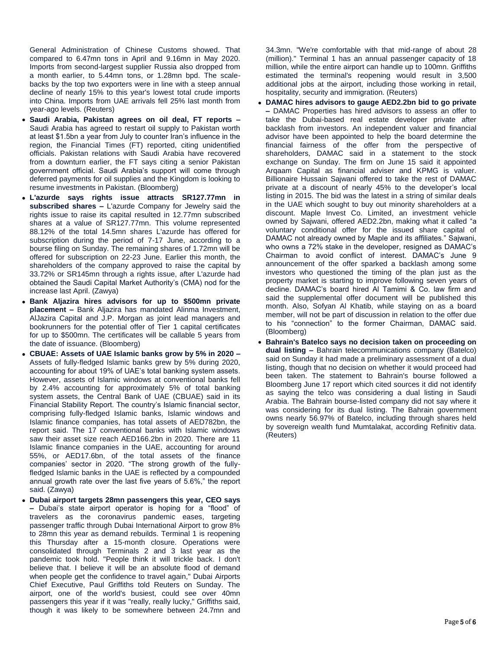General Administration of Chinese Customs showed. That compared to 6.47mn tons in April and 9.16mn in May 2020. Imports from second-largest supplier Russia also dropped from a month earlier, to 5.44mn tons, or 1.28mn bpd. The scalebacks by the top two exporters were in line with a steep annual decline of nearly 15% to this year's lowest total crude imports into China. Imports from UAE arrivals fell 25% last month from year-ago levels. (Reuters)

- **Saudi Arabia, Pakistan agrees on oil deal, FT reports –** Saudi Arabia has agreed to restart oil supply to Pakistan worth at least \$1.5bn a year from July to counter Iran's influence in the region, the Financial Times (FT) reported, citing unidentified officials. Pakistan relations with Saudi Arabia have recovered from a downturn earlier, the FT says citing a senior Pakistan government official. Saudi Arabia's support will come through deferred payments for oil supplies and the Kingdom is looking to resume investments in Pakistan. (Bloomberg)
- **L'azurde says rights issue attracts SR127.77mn in subscribed shares –** L'azurde Company for Jewelry said the rights issue to raise its capital resulted in 12.77mn subscribed shares at a value of SR127.77mn. This volume represented 88.12% of the total 14.5mn shares L'azurde has offered for subscription during the period of 7-17 June, according to a bourse filing on Sunday. The remaining shares of 1.72mn will be offered for subscription on 22-23 June. Earlier this month, the shareholders of the company approved to raise the capital by 33.72% or SR145mn through a rights issue, after L'azurde had obtained the Saudi Capital Market Authority's (CMA) nod for the increase last April. (Zawya)
- **Bank Aljazira hires advisors for up to \$500mn private placement –** Bank Aljazira has mandated Alinma Investment, AlJazira Capital and J.P. Morgan as joint lead managers and bookrunners for the potential offer of Tier 1 capital certificates for up to \$500mn. The certificates will be callable 5 years from the date of issuance. (Bloomberg)
- **CBUAE: Assets of UAE Islamic banks grow by 5% in 2020 –** Assets of fully-fledged Islamic banks grew by 5% during 2020, accounting for about 19% of UAE's total banking system assets. However, assets of Islamic windows at conventional banks fell by 2.4% accounting for approximately 5% of total banking system assets, the Central Bank of UAE (CBUAE) said in its Financial Stability Report. The country's Islamic financial sector, comprising fully-fledged Islamic banks, Islamic windows and Islamic finance companies, has total assets of AED782bn, the report said. The 17 conventional banks with Islamic windows saw their asset size reach AED166.2bn in 2020. There are 11 Islamic finance companies in the UAE, accounting for around 55%, or AED17.6bn, of the total assets of the finance companies' sector in 2020. "The strong growth of the fullyfledged Islamic banks in the UAE is reflected by a compounded annual growth rate over the last five years of 5.6%," the report said. (Zawya)
- **Dubai airport targets 28mn passengers this year, CEO says –** Dubai's state airport operator is hoping for a "flood" of travelers as the coronavirus pandemic eases, targeting passenger traffic through Dubai International Airport to grow 8% to 28mn this year as demand rebuilds. Terminal 1 is reopening this Thursday after a 15-month closure. Operations were consolidated through Terminals 2 and 3 last year as the pandemic took hold. "People think it will trickle back. I don't believe that. I believe it will be an absolute flood of demand when people get the confidence to travel again," Dubai Airports Chief Executive, Paul Griffiths told Reuters on Sunday. The airport, one of the world's busiest, could see over 40mn passengers this year if it was "really, really lucky," Griffiths said, though it was likely to be somewhere between 24.7mn and

34.3mn. "We're comfortable with that mid-range of about 28 (million)." Terminal 1 has an annual passenger capacity of 18 million, while the entire airport can handle up to 100mn. Griffiths estimated the terminal's reopening would result in 3,500 additional jobs at the airport, including those working in retail, hospitality, security and immigration. (Reuters)

- **DAMAC hires advisors to gauge AED2.2bn bid to go private –** DAMAC Properties has hired advisors to assess an offer to take the Dubai-based real estate developer private after backlash from investors. An independent valuer and financial advisor have been appointed to help the board determine the financial fairness of the offer from the perspective of shareholders, DAMAC said in a statement to the stock exchange on Sunday. The firm on June 15 said it appointed Arqaam Capital as financial adviser and KPMG is valuer. Billionaire Hussain Sajwani offered to take the rest of DAMAC private at a discount of nearly 45% to the developer's local listing in 2015. The bid was the latest in a string of similar deals in the UAE which sought to buy out minority shareholders at a discount. Maple Invest Co. Limited, an investment vehicle owned by Sajwani, offered AED2.2bn, making what it called "a voluntary conditional offer for the issued share capital of DAMAC not already owned by Maple and its affiliates." Sajwani, who owns a 72% stake in the developer, resigned as DAMAC's Chairman to avoid conflict of interest. DAMAC's June 9 announcement of the offer sparked a backlash among some investors who questioned the timing of the plan just as the property market is starting to improve following seven years of decline. DAMAC's board hired Al Tamimi & Co. law firm and said the supplemental offer document will be published this month. Also, Sofyan Al Khatib, while staying on as a board member, will not be part of discussion in relation to the offer due to his "connection" to the former Chairman, DAMAC said. (Bloomberg)
- **Bahrain's Batelco says no decision taken on proceeding on dual listing –** Bahrain telecommunications company (Batelco) said on Sunday it had made a preliminary assessment of a dual listing, though that no decision on whether it would proceed had been taken. The statement to Bahrain's bourse followed a Bloomberg June 17 report which cited sources it did not identify as saying the telco was considering a dual listing in Saudi Arabia. The Bahrain bourse-listed company did not say where it was considering for its dual listing. The Bahrain government owns nearly 56.97% of Batelco, including through shares held by sovereign wealth fund Mumtalakat, according Refinitiv data. (Reuters)